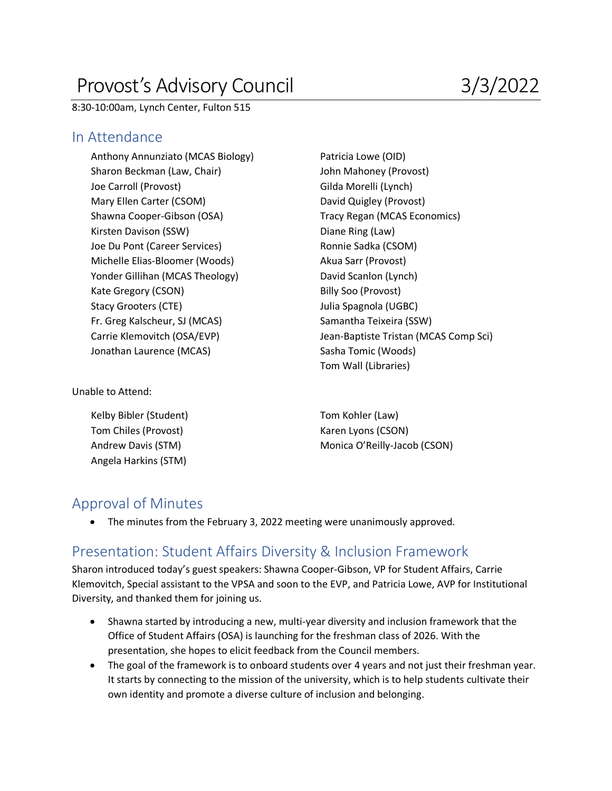# Provost's Advisory Council 3/3/2022

8:30-10:00am, Lynch Center, Fulton 515

#### In Attendance

Anthony Annunziato (MCAS Biology) Patricia Lowe (OID) Sharon Beckman (Law, Chair) John Mahoney (Provost) Joe Carroll (Provost) **Gilda Morelli** (Lynch) Mary Ellen Carter (CSOM) David Quigley (Provost) Shawna Cooper-Gibson (OSA) Tracy Regan (MCAS Economics) Kirsten Davison (SSW) **Diane Ring (Law)** Joe Du Pont (Career Services) Ronnie Sadka (CSOM) Michelle Elias-Bloomer (Woods) Akua Sarr (Provost) Yonder Gillihan (MCAS Theology) David Scanlon (Lynch) Kate Gregory (CSON) Billy Soo (Provost) Stacy Grooters (CTE) and Stacy Grooters (CTE) and Spagnola (UGBC) and Spagnola (UGBC) Fr. Greg Kalscheur, SJ (MCAS) Samantha Teixeira (SSW) Jonathan Laurence (MCAS) Sasha Tomic (Woods)

Carrie Klemovitch (OSA/EVP) Jean-Baptiste Tristan (MCAS Comp Sci) Tom Wall (Libraries)

Unable to Attend:

Kelby Bibler (Student) Tom Kohler (Law) Tom Chiles (Provost) Karen Lyons (CSON) Angela Harkins (STM)

Andrew Davis (STM) Monica O'Reilly-Jacob (CSON)

#### Approval of Minutes

• The minutes from the February 3, 2022 meeting were unanimously approved.

#### Presentation: Student Affairs Diversity & Inclusion Framework

Sharon introduced today's guest speakers: Shawna Cooper-Gibson, VP for Student Affairs, Carrie Klemovitch, Special assistant to the VPSA and soon to the EVP, and Patricia Lowe, AVP for Institutional Diversity, and thanked them for joining us.

- Shawna started by introducing a new, multi-year diversity and inclusion framework that the Office of Student Affairs (OSA) is launching for the freshman class of 2026. With the presentation, she hopes to elicit feedback from the Council members.
- The goal of the framework is to onboard students over 4 years and not just their freshman year. It starts by connecting to the mission of the university, which is to help students cultivate their own identity and promote a diverse culture of inclusion and belonging.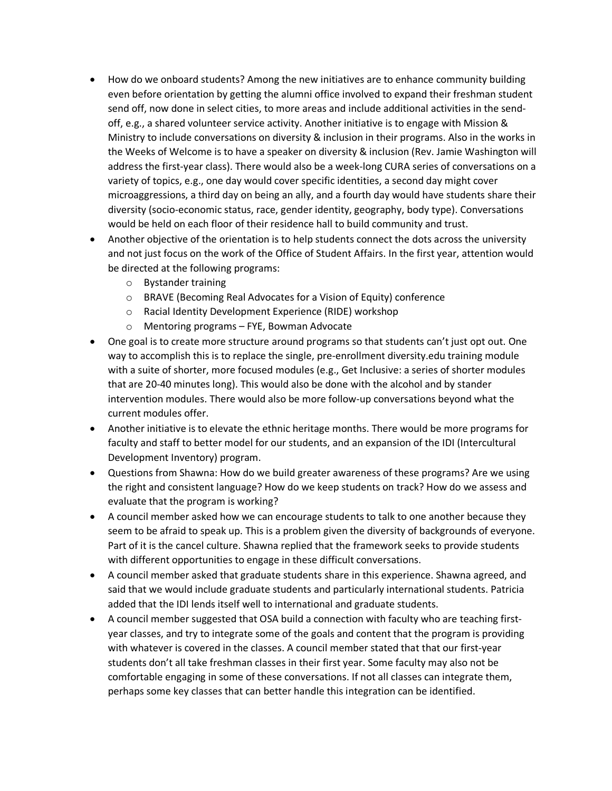- How do we onboard students? Among the new initiatives are to enhance community building even before orientation by getting the alumni office involved to expand their freshman student send off, now done in select cities, to more areas and include additional activities in the sendoff, e.g., a shared volunteer service activity. Another initiative is to engage with Mission & Ministry to include conversations on diversity & inclusion in their programs. Also in the works in the Weeks of Welcome is to have a speaker on diversity & inclusion (Rev. Jamie Washington will address the first-year class). There would also be a week-long CURA series of conversations on a variety of topics, e.g., one day would cover specific identities, a second day might cover microaggressions, a third day on being an ally, and a fourth day would have students share their diversity (socio-economic status, race, gender identity, geography, body type). Conversations would be held on each floor of their residence hall to build community and trust.
- Another objective of the orientation is to help students connect the dots across the university and not just focus on the work of the Office of Student Affairs. In the first year, attention would be directed at the following programs:
	- o Bystander training
	- o BRAVE (Becoming Real Advocates for a Vision of Equity) conference
	- o Racial Identity Development Experience (RIDE) workshop
	- o Mentoring programs FYE, Bowman Advocate
- One goal is to create more structure around programs so that students can't just opt out. One way to accomplish this is to replace the single, pre-enrollment diversity.edu training module with a suite of shorter, more focused modules (e.g., Get Inclusive: a series of shorter modules that are 20-40 minutes long). This would also be done with the alcohol and by stander intervention modules. There would also be more follow-up conversations beyond what the current modules offer.
- Another initiative is to elevate the ethnic heritage months. There would be more programs for faculty and staff to better model for our students, and an expansion of the IDI (Intercultural Development Inventory) program.
- Questions from Shawna: How do we build greater awareness of these programs? Are we using the right and consistent language? How do we keep students on track? How do we assess and evaluate that the program is working?
- A council member asked how we can encourage students to talk to one another because they seem to be afraid to speak up. This is a problem given the diversity of backgrounds of everyone. Part of it is the cancel culture. Shawna replied that the framework seeks to provide students with different opportunities to engage in these difficult conversations.
- A council member asked that graduate students share in this experience. Shawna agreed, and said that we would include graduate students and particularly international students. Patricia added that the IDI lends itself well to international and graduate students.
- A council member suggested that OSA build a connection with faculty who are teaching firstyear classes, and try to integrate some of the goals and content that the program is providing with whatever is covered in the classes. A council member stated that that our first-year students don't all take freshman classes in their first year. Some faculty may also not be comfortable engaging in some of these conversations. If not all classes can integrate them, perhaps some key classes that can better handle this integration can be identified.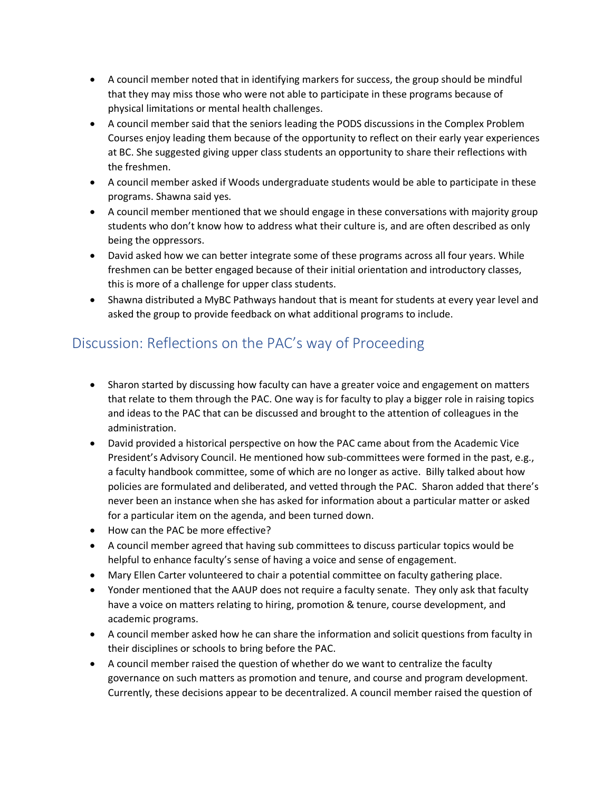- A council member noted that in identifying markers for success, the group should be mindful that they may miss those who were not able to participate in these programs because of physical limitations or mental health challenges.
- A council member said that the seniors leading the PODS discussions in the Complex Problem Courses enjoy leading them because of the opportunity to reflect on their early year experiences at BC. She suggested giving upper class students an opportunity to share their reflections with the freshmen.
- A council member asked if Woods undergraduate students would be able to participate in these programs. Shawna said yes.
- A council member mentioned that we should engage in these conversations with majority group students who don't know how to address what their culture is, and are often described as only being the oppressors.
- David asked how we can better integrate some of these programs across all four years. While freshmen can be better engaged because of their initial orientation and introductory classes, this is more of a challenge for upper class students.
- Shawna distributed a MyBC Pathways handout that is meant for students at every year level and asked the group to provide feedback on what additional programs to include.

## Discussion: Reflections on the PAC's way of Proceeding

- Sharon started by discussing how faculty can have a greater voice and engagement on matters that relate to them through the PAC. One way is for faculty to play a bigger role in raising topics and ideas to the PAC that can be discussed and brought to the attention of colleagues in the administration.
- David provided a historical perspective on how the PAC came about from the Academic Vice President's Advisory Council. He mentioned how sub-committees were formed in the past, e.g., a faculty handbook committee, some of which are no longer as active. Billy talked about how policies are formulated and deliberated, and vetted through the PAC. Sharon added that there's never been an instance when she has asked for information about a particular matter or asked for a particular item on the agenda, and been turned down.
- How can the PAC be more effective?
- A council member agreed that having sub committees to discuss particular topics would be helpful to enhance faculty's sense of having a voice and sense of engagement.
- Mary Ellen Carter volunteered to chair a potential committee on faculty gathering place.
- Yonder mentioned that the AAUP does not require a faculty senate. They only ask that faculty have a voice on matters relating to hiring, promotion & tenure, course development, and academic programs.
- A council member asked how he can share the information and solicit questions from faculty in their disciplines or schools to bring before the PAC.
- A council member raised the question of whether do we want to centralize the faculty governance on such matters as promotion and tenure, and course and program development. Currently, these decisions appear to be decentralized. A council member raised the question of